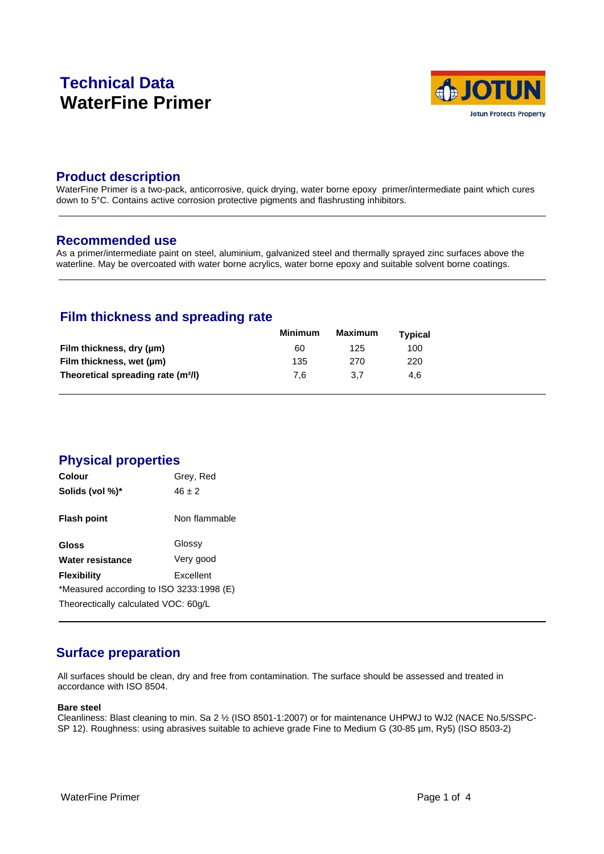# **Technical Data WaterFine Primer**



### **Product description**

WaterFine Primer is a two-pack, anticorrosive, quick drying, water borne epoxy primer/intermediate paint which cures down to 5°C. Contains active corrosion protective pigments and flashrusting inhibitors.

### **Recommended use**

As a primer/intermediate paint on steel, aluminium, galvanized steel and thermally sprayed zinc surfaces above the waterline. May be overcoated with water borne acrylics, water borne epoxy and suitable solvent borne coatings.

# **Film thickness and spreading rate**

|                                                | Minimum | Maximum | <b>Typical</b> |  |
|------------------------------------------------|---------|---------|----------------|--|
| Film thickness, dry (µm)                       | 60      | 125     | 100            |  |
| Film thickness, wet (µm)                       | 135     | 270     | 220            |  |
| Theoretical spreading rate (m <sup>2</sup> /l) | 7.6     | 3.7     | 4.6            |  |

# **Physical properties**

| <b>Colour</b>                            | Grey, Red     |  |  |
|------------------------------------------|---------------|--|--|
| Solids (vol %)*                          | $46 + 2$      |  |  |
| Flash point                              | Non flammable |  |  |
| Gloss                                    | Glossy        |  |  |
| Water resistance                         | Very good     |  |  |
| <b>Flexibility</b>                       | Excellent     |  |  |
| *Measured according to ISO 3233:1998 (E) |               |  |  |
| Theorectically calculated VOC: 60g/L     |               |  |  |

# **Surface preparation**

All surfaces should be clean, dry and free from contamination. The surface should be assessed and treated in accordance with ISO 8504.

#### **Bare steel**

Cleanliness: Blast cleaning to min. Sa 2 ½ (ISO 8501-1:2007) or for maintenance UHPWJ to WJ2 (NACE No.5/SSPC-SP 12). Roughness: using abrasives suitable to achieve grade Fine to Medium G (30-85 µm, Ry5) (ISO 8503-2)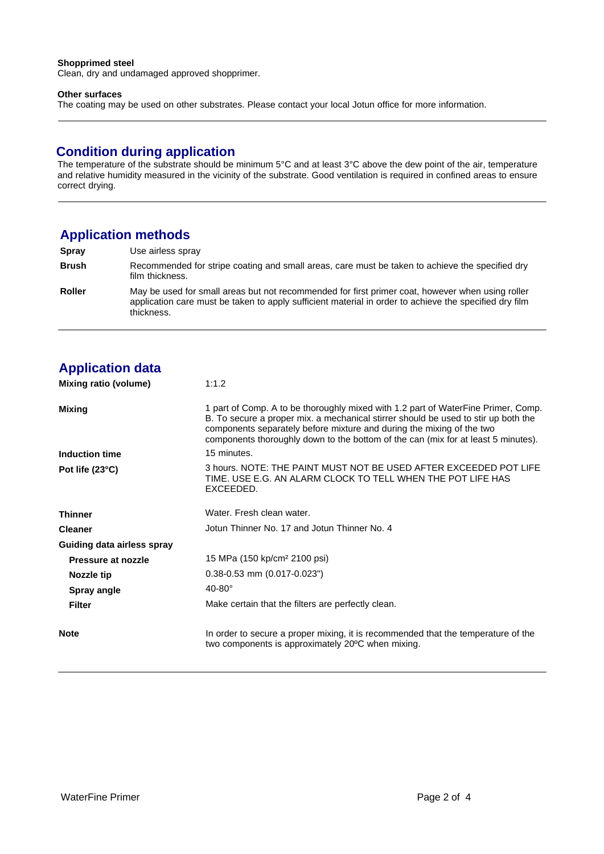#### **Shopprimed steel**

Clean, dry and undamaged approved shopprimer.

#### **Other surfaces**

The coating may be used on other substrates. Please contact your local Jotun office for more information.

### **Condition during application**

The temperature of the substrate should be minimum 5°C and at least 3°C above the dew point of the air, temperature and relative humidity measured in the vicinity of the substrate. Good ventilation is required in confined areas to ensure correct drying.

# **Application methods**

| Spray         | Use airless spray                                                                                                                                                                                                        |
|---------------|--------------------------------------------------------------------------------------------------------------------------------------------------------------------------------------------------------------------------|
| <b>Brush</b>  | Recommended for stripe coating and small areas, care must be taken to achieve the specified dry<br>film thickness.                                                                                                       |
| <b>Roller</b> | May be used for small areas but not recommended for first primer coat, however when using roller<br>application care must be taken to apply sufficient material in order to achieve the specified dry film<br>thickness. |

# **Application data**

| Mixing ratio (volume)      | 1:1.2                                                                                                                                                                                                                                                                                                                                 |
|----------------------------|---------------------------------------------------------------------------------------------------------------------------------------------------------------------------------------------------------------------------------------------------------------------------------------------------------------------------------------|
| <b>Mixing</b>              | 1 part of Comp. A to be thoroughly mixed with 1.2 part of WaterFine Primer, Comp.<br>B. To secure a proper mix. a mechanical stirrer should be used to stir up both the<br>components separately before mixture and during the mixing of the two<br>components thoroughly down to the bottom of the can (mix for at least 5 minutes). |
| Induction time             | 15 minutes.                                                                                                                                                                                                                                                                                                                           |
| Pot life $(23^{\circ}C)$   | 3 hours. NOTE: THE PAINT MUST NOT BE USED AFTER EXCEEDED POT LIFE<br>TIME. USE E.G. AN ALARM CLOCK TO TELL WHEN THE POT LIFE HAS<br>EXCEEDED.                                                                                                                                                                                         |
| <b>Thinner</b>             | Water. Fresh clean water.                                                                                                                                                                                                                                                                                                             |
| <b>Cleaner</b>             | Jotun Thinner No. 17 and Jotun Thinner No. 4                                                                                                                                                                                                                                                                                          |
| Guiding data airless spray |                                                                                                                                                                                                                                                                                                                                       |
| Pressure at nozzle         | 15 MPa (150 kp/cm <sup>2</sup> 2100 psi)                                                                                                                                                                                                                                                                                              |
| Nozzle tip                 | $0.38 - 0.53$ mm $(0.017 - 0.023)$                                                                                                                                                                                                                                                                                                    |
| <b>Spray angle</b>         | $40-80^\circ$                                                                                                                                                                                                                                                                                                                         |
| Filter                     | Make certain that the filters are perfectly clean.                                                                                                                                                                                                                                                                                    |
| <b>Note</b>                | In order to secure a proper mixing, it is recommended that the temperature of the<br>two components is approximately 20°C when mixing.                                                                                                                                                                                                |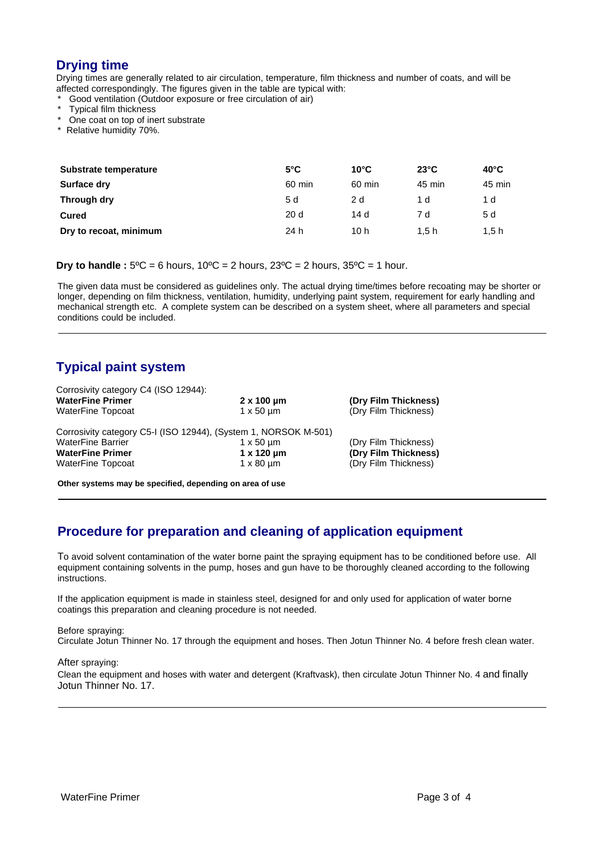# **Drying time**

Drying times are generally related to air circulation, temperature, film thickness and number of coats, and will be affected correspondingly. The figures given in the table are typical with:

Good ventilation (Outdoor exposure or free circulation of air)

- Typical film thickness
- One coat on top of inert substrate
- \* Relative humidity 70%.

| Substrate temperature  | $5^{\circ}$ C | $10^{\circ}$ C | $23^{\circ}$ C | $40^{\circ}$ C |
|------------------------|---------------|----------------|----------------|----------------|
| Surface dry            | 60 min        | 60 min         | 45 min         | 45 min         |
| Through dry            | 5 d           | 2 d            | 1 d            | 1 d            |
| Cured                  | 20d           | 14 d           | 7 d            | 5 d            |
| Dry to recoat, minimum | 24 h          | 10 h           | 1.5h           | 1.5h           |

**Dry to handle :**  $5^{\circ}C = 6$  hours,  $10^{\circ}C = 2$  hours,  $23^{\circ}C = 2$  hours,  $35^{\circ}C = 1$  hour.

The given data must be considered as guidelines only. The actual drying time/times before recoating may be shorter or longer, depending on film thickness, ventilation, humidity, underlying paint system, requirement for early handling and mechanical strength etc. A complete system can be described on a system sheet, where all parameters and special conditions could be included.

# **Typical paint system**

| Corrosivity category C4 (ISO 12944):                            |                      |                      |  |  |
|-----------------------------------------------------------------|----------------------|----------------------|--|--|
| <b>WaterFine Primer</b>                                         | $2 \times 100 \mu m$ | (Dry Film Thickness) |  |  |
| <b>WaterFine Topcoat</b>                                        | $1 \times 50 \mu m$  | (Dry Film Thickness) |  |  |
| Corrosivity category C5-I (ISO 12944), (System 1, NORSOK M-501) |                      |                      |  |  |
| <b>WaterFine Barrier</b>                                        | $1 \times 50 \mu m$  | (Dry Film Thickness) |  |  |
| <b>WaterFine Primer</b>                                         | $1 x 120 \mu m$      | (Dry Film Thickness) |  |  |
| WaterFine Topcoat                                               | $1 \times 80 \mu m$  | (Dry Film Thickness) |  |  |
| Other systems may be specified, depending on area of use        |                      |                      |  |  |

# **Procedure for preparation and cleaning of application equipment**

To avoid solvent contamination of the water borne paint the spraying equipment has to be conditioned before use. All equipment containing solvents in the pump, hoses and gun have to be thoroughly cleaned according to the following instructions.

If the application equipment is made in stainless steel, designed for and only used for application of water borne coatings this preparation and cleaning procedure is not needed.

#### Before spraying:

Circulate Jotun Thinner No. 17 through the equipment and hoses. Then Jotun Thinner No. 4 before fresh clean water.

#### After spraying:

Clean the equipment and hoses with water and detergent (Kraftvask), then circulate Jotun Thinner No. 4 and finally Jotun Thinner No. 17.